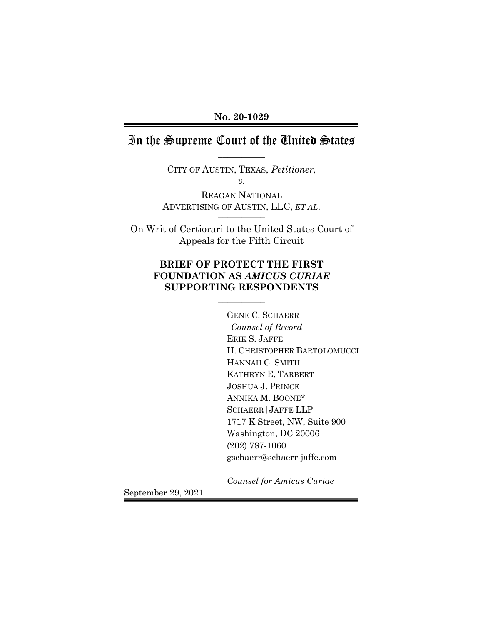## In the Supreme Court of the United States  $\overline{\phantom{a}}$

CITY OF AUSTIN, TEXAS, *Petitioner, v.*

REAGAN NATIONAL ADVERTISING OF AUSTIN, LLC, *ET AL*.

On Writ of Certiorari to the United States Court of Appeals for the Fifth Circuit \_\_\_\_\_\_\_\_\_\_

## **BRIEF OF PROTECT THE FIRST FOUNDATION AS** *AMICUS CURIAE* **SUPPORTING RESPONDENTS**

 $\overline{\phantom{a}}$ 

GENE C. SCHAERR  *Counsel of Record* ERIK S. JAFFE H. CHRISTOPHER BARTOLOMUCCI HANNAH C. SMITH KATHRYN E. TARBERT JOSHUA J. PRINCE ANNIKA M. BOONE\* SCHAERR|JAFFE LLP 1717 K Street, NW, Suite 900 Washington, DC 20006 (202) 787-1060 gschaerr@schaerr-jaffe.com

*Counsel for Amicus Curiae*

September 29, 2021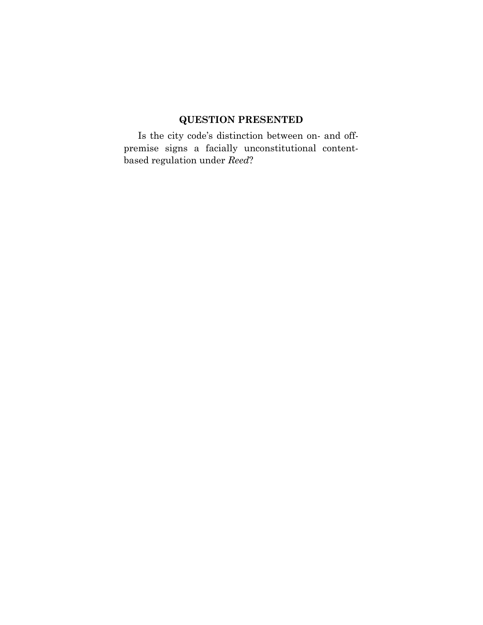# **QUESTION PRESENTED**

Is the city code's distinction between on- and offpremise signs a facially unconstitutional contentbased regulation under *Reed*?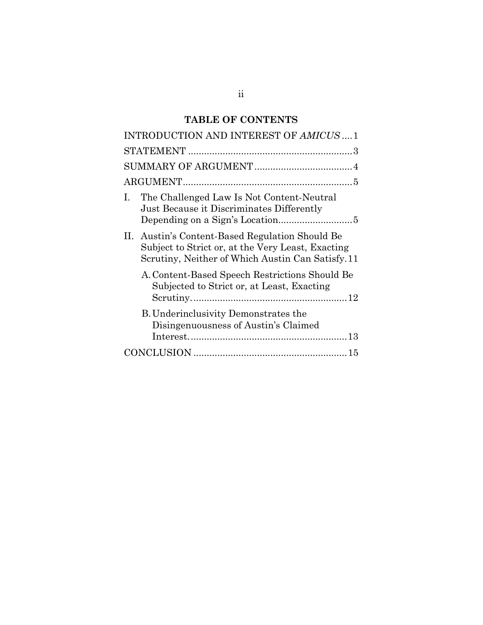# **TABLE OF CONTENTS**

| INTRODUCTION AND INTEREST OF AMICUS  1                                                                                                                    |
|-----------------------------------------------------------------------------------------------------------------------------------------------------------|
|                                                                                                                                                           |
|                                                                                                                                                           |
|                                                                                                                                                           |
| The Challenged Law Is Not Content-Neutral<br>$\mathbf{I}$ .<br>Just Because it Discriminates Differently                                                  |
| II. Austin's Content-Based Regulation Should Be<br>Subject to Strict or, at the Very Least, Exacting<br>Scrutiny, Neither of Which Austin Can Satisfy. 11 |
| A. Content-Based Speech Restrictions Should Be<br>Subjected to Strict or, at Least, Exacting                                                              |
| <b>B.</b> Underinclusivity Demonstrates the<br>Disingenuousness of Austin's Claimed                                                                       |
|                                                                                                                                                           |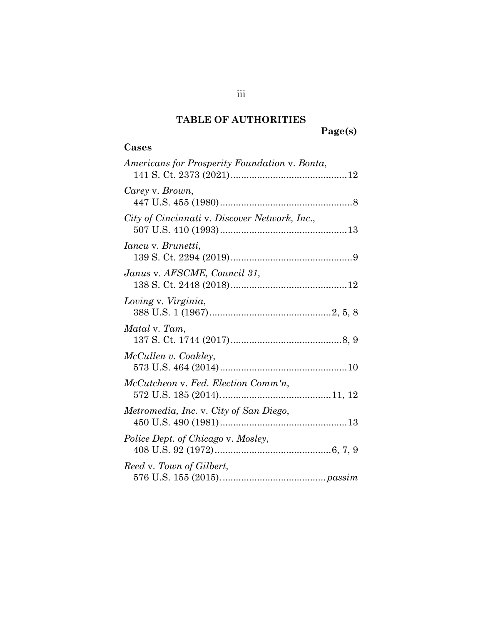## **TABLE OF AUTHORITIES**

# **Page(s)**

# **Cases**

| Americans for Prosperity Foundation v. Bonta, |
|-----------------------------------------------|
| Carey v. Brown,                               |
| City of Cincinnati v. Discover Network, Inc., |
| <i>Iancu</i> v. <i>Brunetti</i> ,             |
| Janus v. AFSCME, Council 31,                  |
| Loving v. Virginia,                           |
| Matal v. Tam,                                 |
| McCullen v. Coakley,                          |
| McCutcheon v. Fed. Election Comm'n,           |
| Metromedia, Inc. v. City of San Diego,        |
| Police Dept. of Chicago v. Mosley,            |
| Reed v. Town of Gilbert,                      |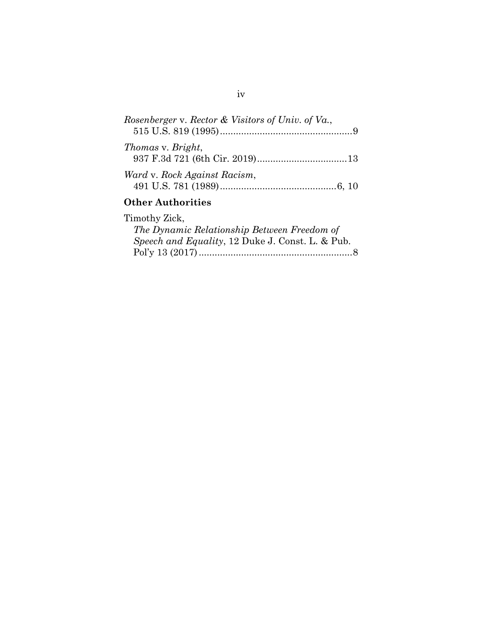| Rosenberger v. Rector & Visitors of Univ. of Va., |  |
|---------------------------------------------------|--|
| <i>Thomas v. Bright,</i>                          |  |
| Ward v. Rock Against Racism,                      |  |

# **Other Authorities**

## Timothy Zick,

| The Dynamic Relationship Between Freedom of              |  |
|----------------------------------------------------------|--|
| <i>Speech and Equality</i> , 12 Duke J. Const. L. & Pub. |  |
|                                                          |  |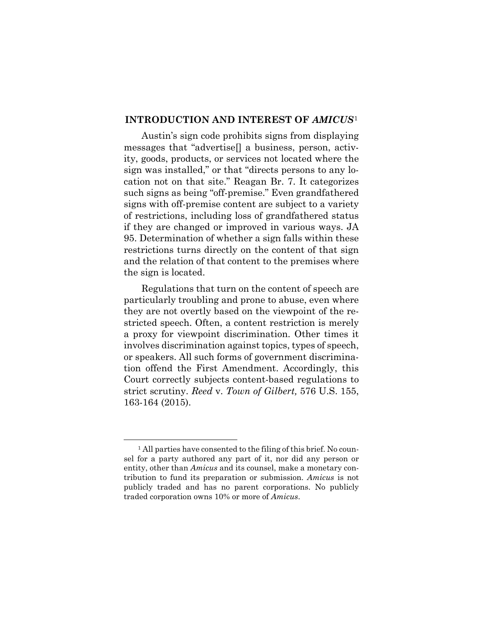#### **INTRODUCTION AND INTEREST OF** *AMICUS*[1](#page-5-0)

Austin's sign code prohibits signs from displaying messages that "advertise[] a business, person, activity, goods, products, or services not located where the sign was installed," or that "directs persons to any location not on that site." Reagan Br. 7. It categorizes such signs as being "off-premise." Even grandfathered signs with off-premise content are subject to a variety of restrictions, including loss of grandfathered status if they are changed or improved in various ways. JA 95. Determination of whether a sign falls within these restrictions turns directly on the content of that sign and the relation of that content to the premises where the sign is located.

Regulations that turn on the content of speech are particularly troubling and prone to abuse, even where they are not overtly based on the viewpoint of the restricted speech. Often, a content restriction is merely a proxy for viewpoint discrimination. Other times it involves discrimination against topics, types of speech, or speakers. All such forms of government discrimination offend the First Amendment. Accordingly, this Court correctly subjects content-based regulations to strict scrutiny. *Reed* v. *Town of Gilbert,* 576 U.S. 155, 163-164 (2015).

<u>.</u>

<span id="page-5-0"></span><sup>&</sup>lt;sup>1</sup> All parties have consented to the filing of this brief. No counsel for a party authored any part of it, nor did any person or entity, other than *Amicus* and its counsel, make a monetary contribution to fund its preparation or submission. *Amicus* is not publicly traded and has no parent corporations. No publicly traded corporation owns 10% or more of *Amicus*.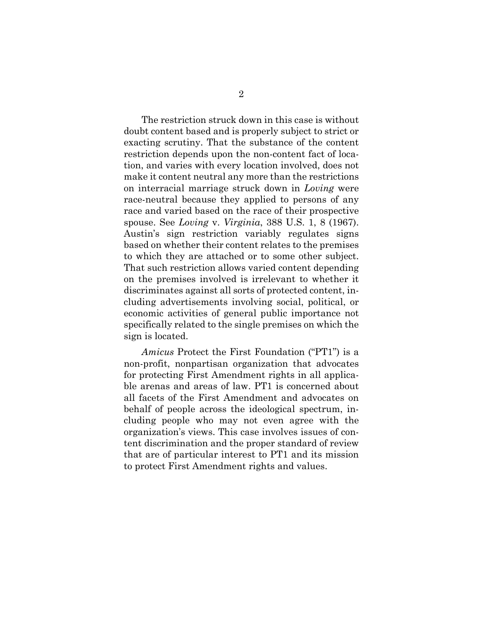The restriction struck down in this case is without doubt content based and is properly subject to strict or exacting scrutiny. That the substance of the content restriction depends upon the non-content fact of location, and varies with every location involved, does not make it content neutral any more than the restrictions on interracial marriage struck down in *Loving* were race-neutral because they applied to persons of any race and varied based on the race of their prospective spouse. See *Loving* v. *Virginia*, 388 U.S. 1, 8 (1967). Austin's sign restriction variably regulates signs based on whether their content relates to the premises to which they are attached or to some other subject. That such restriction allows varied content depending on the premises involved is irrelevant to whether it discriminates against all sorts of protected content, including advertisements involving social, political, or economic activities of general public importance not specifically related to the single premises on which the sign is located.

*Amicus* Protect the First Foundation ("PT1") is a non-profit, nonpartisan organization that advocates for protecting First Amendment rights in all applicable arenas and areas of law. PT1 is concerned about all facets of the First Amendment and advocates on behalf of people across the ideological spectrum, including people who may not even agree with the organization's views. This case involves issues of content discrimination and the proper standard of review that are of particular interest to PT1 and its mission to protect First Amendment rights and values.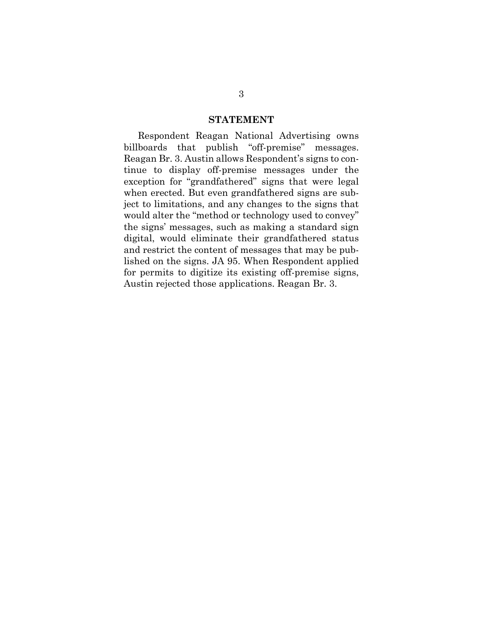#### **STATEMENT**

Respondent Reagan National Advertising owns billboards that publish "off-premise" messages. Reagan Br. 3. Austin allows Respondent's signs to continue to display off-premise messages under the exception for "grandfathered" signs that were legal when erected. But even grandfathered signs are subject to limitations, and any changes to the signs that would alter the "method or technology used to convey" the signs' messages, such as making a standard sign digital, would eliminate their grandfathered status and restrict the content of messages that may be published on the signs. JA 95. When Respondent applied for permits to digitize its existing off-premise signs, Austin rejected those applications. Reagan Br. 3.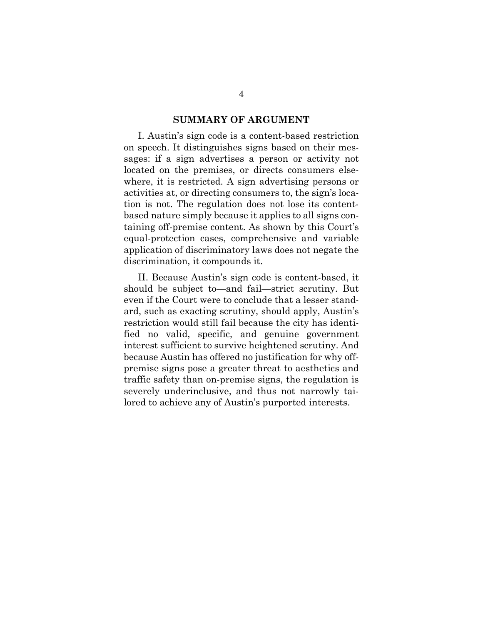#### **SUMMARY OF ARGUMENT**

I. Austin's sign code is a content-based restriction on speech. It distinguishes signs based on their messages: if a sign advertises a person or activity not located on the premises, or directs consumers elsewhere, it is restricted. A sign advertising persons or activities at, or directing consumers to, the sign's location is not. The regulation does not lose its contentbased nature simply because it applies to all signs containing off-premise content. As shown by this Court's equal-protection cases, comprehensive and variable application of discriminatory laws does not negate the discrimination, it compounds it.

II. Because Austin's sign code is content-based, it should be subject to—and fail—strict scrutiny. But even if the Court were to conclude that a lesser standard, such as exacting scrutiny, should apply, Austin's restriction would still fail because the city has identified no valid, specific, and genuine government interest sufficient to survive heightened scrutiny. And because Austin has offered no justification for why offpremise signs pose a greater threat to aesthetics and traffic safety than on-premise signs, the regulation is severely underinclusive, and thus not narrowly tailored to achieve any of Austin's purported interests.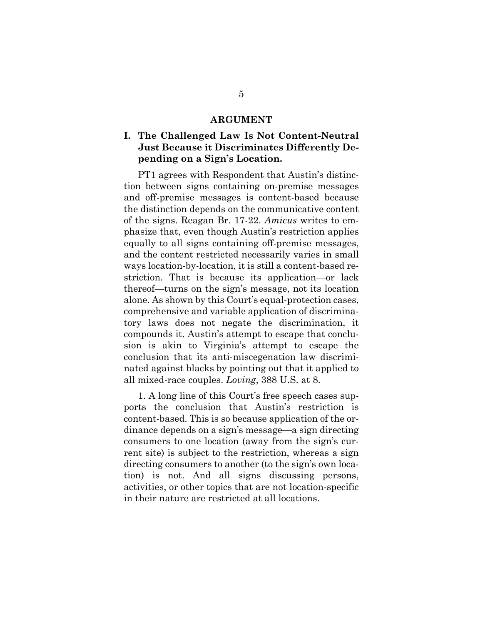#### **ARGUMENT**

### **I. The Challenged Law Is Not Content-Neutral Just Because it Discriminates Differently Depending on a Sign's Location.**

PT1 agrees with Respondent that Austin's distinction between signs containing on-premise messages and off-premise messages is content-based because the distinction depends on the communicative content of the signs. Reagan Br. 17-22. *Amicus* writes to emphasize that, even though Austin's restriction applies equally to all signs containing off-premise messages, and the content restricted necessarily varies in small ways location-by-location, it is still a content-based restriction. That is because its application—or lack thereof—turns on the sign's message, not its location alone. As shown by this Court's equal-protection cases, comprehensive and variable application of discriminatory laws does not negate the discrimination, it compounds it. Austin's attempt to escape that conclusion is akin to Virginia's attempt to escape the conclusion that its anti-miscegenation law discriminated against blacks by pointing out that it applied to all mixed-race couples. *Loving*, 388 U.S. at 8.

1. A long line of this Court's free speech cases supports the conclusion that Austin's restriction is content-based. This is so because application of the ordinance depends on a sign's message—a sign directing consumers to one location (away from the sign's current site) is subject to the restriction, whereas a sign directing consumers to another (to the sign's own location) is not. And all signs discussing persons, activities, or other topics that are not location-specific in their nature are restricted at all locations.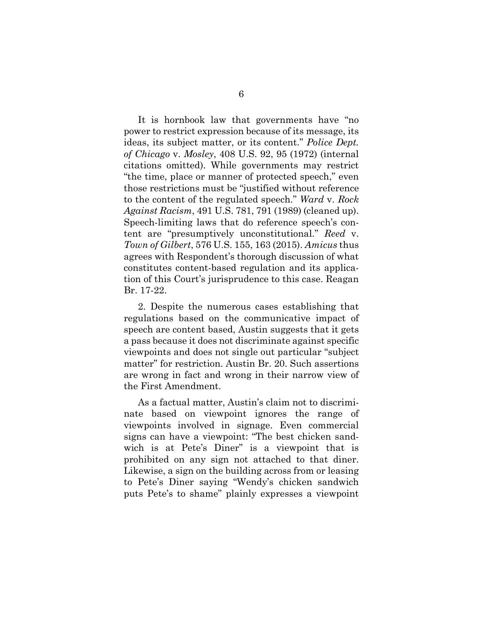It is hornbook law that governments have "no power to restrict expression because of its message, its ideas, its subject matter, or its content." *Police Dept. of Chicago* v. *Mosley*, 408 U.S. 92, 95 (1972) (internal citations omitted). While governments may restrict "the time, place or manner of protected speech," even those restrictions must be "justified without reference to the content of the regulated speech." *Ward* v. *Rock Against Racism*, 491 U.S. 781, 791 (1989) (cleaned up). Speech-limiting laws that do reference speech's content are "presumptively unconstitutional." *Reed* v. *Town of Gilbert*, 576 U.S. 155, 163 (2015). *Amicus* thus agrees with Respondent's thorough discussion of what constitutes content-based regulation and its application of this Court's jurisprudence to this case. Reagan Br. 17-22.

2. Despite the numerous cases establishing that regulations based on the communicative impact of speech are content based, Austin suggests that it gets a pass because it does not discriminate against specific viewpoints and does not single out particular "subject matter" for restriction. Austin Br. 20. Such assertions are wrong in fact and wrong in their narrow view of the First Amendment.

As a factual matter, Austin's claim not to discriminate based on viewpoint ignores the range of viewpoints involved in signage. Even commercial signs can have a viewpoint: "The best chicken sandwich is at Pete's Diner" is a viewpoint that is prohibited on any sign not attached to that diner. Likewise, a sign on the building across from or leasing to Pete's Diner saying "Wendy's chicken sandwich puts Pete's to shame" plainly expresses a viewpoint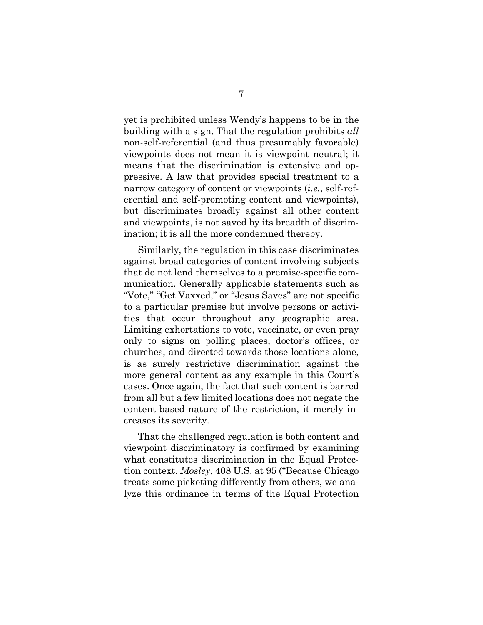yet is prohibited unless Wendy's happens to be in the building with a sign. That the regulation prohibits *all* non-self-referential (and thus presumably favorable) viewpoints does not mean it is viewpoint neutral; it means that the discrimination is extensive and oppressive. A law that provides special treatment to a narrow category of content or viewpoints (*i.e.*, self-referential and self-promoting content and viewpoints), but discriminates broadly against all other content and viewpoints, is not saved by its breadth of discrimination; it is all the more condemned thereby.

Similarly, the regulation in this case discriminates against broad categories of content involving subjects that do not lend themselves to a premise-specific communication. Generally applicable statements such as "Vote," "Get Vaxxed," or "Jesus Saves" are not specific to a particular premise but involve persons or activities that occur throughout any geographic area. Limiting exhortations to vote, vaccinate, or even pray only to signs on polling places, doctor's offices, or churches, and directed towards those locations alone, is as surely restrictive discrimination against the more general content as any example in this Court's cases. Once again, the fact that such content is barred from all but a few limited locations does not negate the content-based nature of the restriction, it merely increases its severity.

That the challenged regulation is both content and viewpoint discriminatory is confirmed by examining what constitutes discrimination in the Equal Protection context. *Mosley*, 408 U.S. at 95 ("Because Chicago treats some picketing differently from others, we analyze this ordinance in terms of the Equal Protection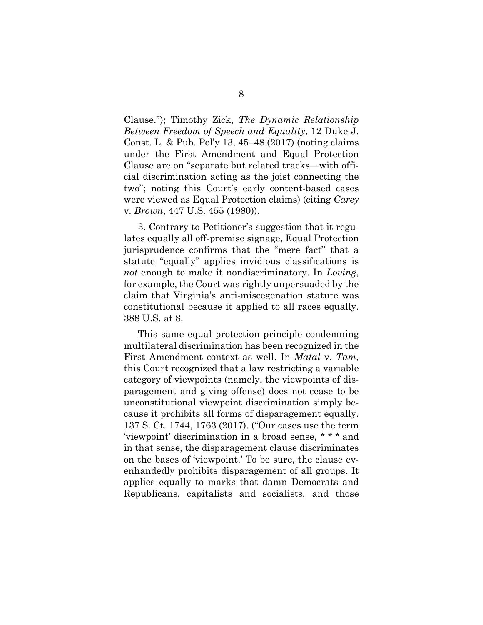Clause."); Timothy Zick, *The Dynamic Relationship Between Freedom of Speech and Equality*, 12 Duke J. Const. L. & Pub. Pol'y 13, 45–48 (2017) (noting claims under the First Amendment and Equal Protection Clause are on "separate but related tracks—with official discrimination acting as the joist connecting the two"; noting this Court's early content-based cases were viewed as Equal Protection claims) (citing *Carey*  v. *Brown*, 447 U.S. 455 (1980)).

3. Contrary to Petitioner's suggestion that it regulates equally all off-premise signage, Equal Protection jurisprudence confirms that the "mere fact" that a statute "equally" applies invidious classifications is *not* enough to make it nondiscriminatory. In *Loving*, for example, the Court was rightly unpersuaded by the claim that Virginia's anti-miscegenation statute was constitutional because it applied to all races equally. 388 U.S. at 8.

This same equal protection principle condemning multilateral discrimination has been recognized in the First Amendment context as well. In *Matal* v. *Tam*, this Court recognized that a law restricting a variable category of viewpoints (namely, the viewpoints of disparagement and giving offense) does not cease to be unconstitutional viewpoint discrimination simply because it prohibits all forms of disparagement equally. 137 S. Ct. 1744, 1763 (2017). ("Our cases use the term 'viewpoint' discrimination in a broad sense, \* \* \* and in that sense, the disparagement clause discriminates on the bases of 'viewpoint.' To be sure, the clause evenhandedly prohibits disparagement of all groups. It applies equally to marks that damn Democrats and Republicans, capitalists and socialists, and those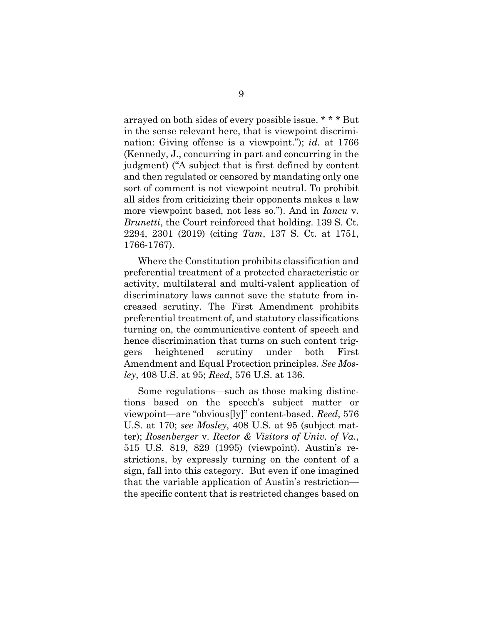arrayed on both sides of every possible issue. \* \* \* But in the sense relevant here, that is viewpoint discrimination: Giving offense is a viewpoint."); *id.* at 1766 (Kennedy, J., concurring in part and concurring in the judgment) ("A subject that is first defined by content and then regulated or censored by mandating only one sort of comment is not viewpoint neutral. To prohibit all sides from criticizing their opponents makes a law more viewpoint based, not less so."). And in *Iancu* v. *Brunetti*, the Court reinforced that holding. 139 S. Ct. 2294, 2301 (2019) (citing *Tam*, 137 S. Ct. at 1751, 1766-1767).

Where the Constitution prohibits classification and preferential treatment of a protected characteristic or activity, multilateral and multi-valent application of discriminatory laws cannot save the statute from increased scrutiny. The First Amendment prohibits preferential treatment of, and statutory classifications turning on, the communicative content of speech and hence discrimination that turns on such content triggers heightened scrutiny under both First Amendment and Equal Protection principles. *See Mosley*, 408 U.S. at 95; *Reed*, 576 U.S. at 136.

Some regulations—such as those making distinctions based on the speech's subject matter or viewpoint—are "obvious[ly]" content-based. *Reed*, 576 U.S. at 170; *see Mosley*, 408 U.S. at 95 (subject matter); *Rosenberger* v. *Rector & Visitors of Univ. of Va.*, 515 U.S. 819, 829 (1995) (viewpoint). Austin's restrictions, by expressly turning on the content of a sign, fall into this category. But even if one imagined that the variable application of Austin's restriction the specific content that is restricted changes based on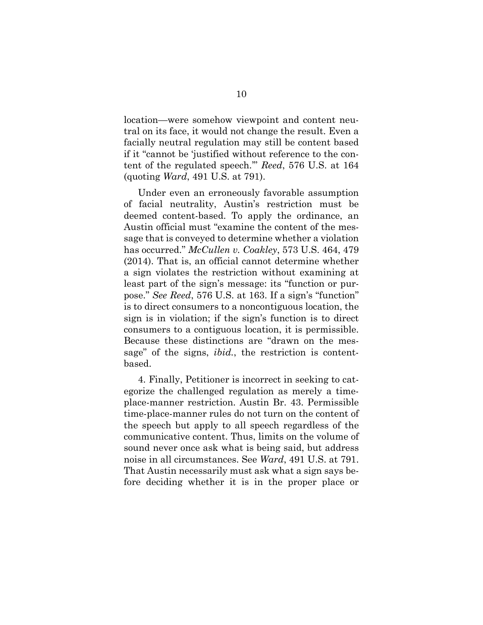location—were somehow viewpoint and content neutral on its face, it would not change the result. Even a facially neutral regulation may still be content based if it "cannot be 'justified without reference to the content of the regulated speech.'" *Reed*, 576 U.S. at 164 (quoting *Ward*, 491 U.S. at 791).

Under even an erroneously favorable assumption of facial neutrality, Austin's restriction must be deemed content-based. To apply the ordinance, an Austin official must "examine the content of the message that is conveyed to determine whether a violation has occurred." *McCullen v. Coakley*, 573 U.S. 464, 479 (2014). That is, an official cannot determine whether a sign violates the restriction without examining at least part of the sign's message: its "function or purpose." *See Reed*, 576 U.S. at 163. If a sign's "function" is to direct consumers to a noncontiguous location, the sign is in violation; if the sign's function is to direct consumers to a contiguous location, it is permissible. Because these distinctions are "drawn on the message" of the signs, *ibid.*, the restriction is contentbased.

4. Finally, Petitioner is incorrect in seeking to categorize the challenged regulation as merely a timeplace-manner restriction. Austin Br. 43. Permissible time-place-manner rules do not turn on the content of the speech but apply to all speech regardless of the communicative content. Thus, limits on the volume of sound never once ask what is being said, but address noise in all circumstances. See *Ward*, 491 U.S. at 791. That Austin necessarily must ask what a sign says before deciding whether it is in the proper place or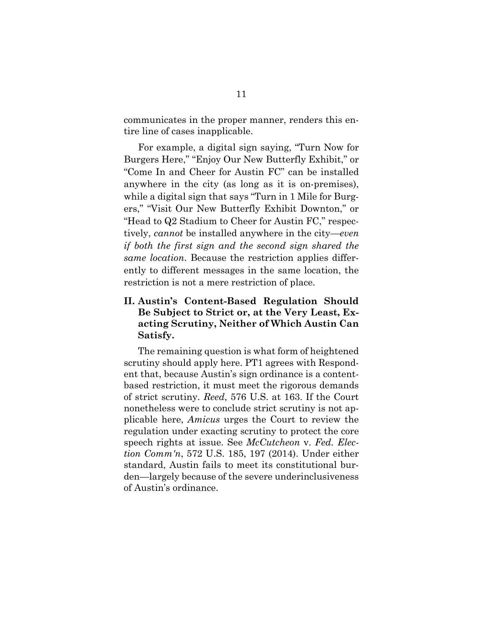communicates in the proper manner, renders this entire line of cases inapplicable.

For example, a digital sign saying, "Turn Now for Burgers Here," "Enjoy Our New Butterfly Exhibit," or "Come In and Cheer for Austin FC" can be installed anywhere in the city (as long as it is on-premises), while a digital sign that says "Turn in 1 Mile for Burgers," "Visit Our New Butterfly Exhibit Downton," or "Head to Q2 Stadium to Cheer for Austin FC," respectively, *cannot* be installed anywhere in the city—*even if both the first sign and the second sign shared the same location*. Because the restriction applies differently to different messages in the same location, the restriction is not a mere restriction of place.

## **II. Austin's Content-Based Regulation Should Be Subject to Strict or, at the Very Least, Exacting Scrutiny, Neither of Which Austin Can Satisfy.**

The remaining question is what form of heightened scrutiny should apply here. PT1 agrees with Respondent that, because Austin's sign ordinance is a contentbased restriction, it must meet the rigorous demands of strict scrutiny. *Reed*, 576 U.S. at 163. If the Court nonetheless were to conclude strict scrutiny is not applicable here, *Amicus* urges the Court to review the regulation under exacting scrutiny to protect the core speech rights at issue. See *McCutcheon* v. *Fed. Election Comm'n*, 572 U.S. 185, 197 (2014). Under either standard, Austin fails to meet its constitutional burden—largely because of the severe underinclusiveness of Austin's ordinance.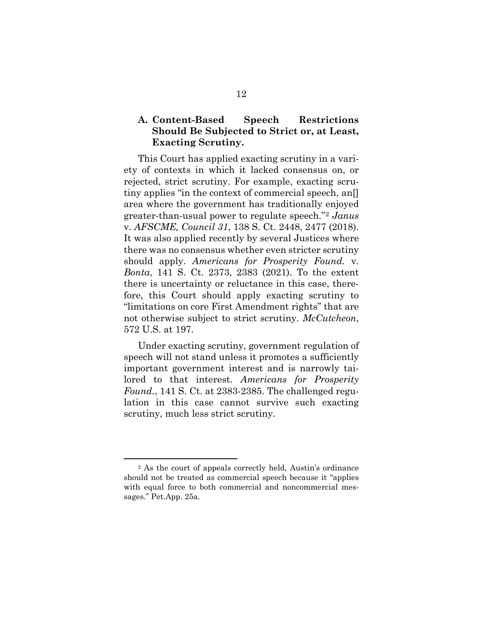### **A. Content-Based Speech Restrictions Should Be Subjected to Strict or, at Least, Exacting Scrutiny.**

This Court has applied exacting scrutiny in a variety of contexts in which it lacked consensus on, or rejected, strict scrutiny. For example, exacting scrutiny applies "in the context of commercial speech, an[] area where the government has traditionally enjoyed greater-than-usual power to regulate speech."[2](#page-16-0) *Janus* v. *AFSCME, Council 31*, 138 S. Ct. 2448, 2477 (2018). It was also applied recently by several Justices where there was no consensus whether even stricter scrutiny should apply. *Americans for Prosperity Found.* v. *Bonta*, 141 S. Ct. 2373, 2383 (2021). To the extent there is uncertainty or reluctance in this case, therefore, this Court should apply exacting scrutiny to "limitations on core First Amendment rights" that are not otherwise subject to strict scrutiny. *McCutcheon*, 572 U.S. at 197.

Under exacting scrutiny, government regulation of speech will not stand unless it promotes a sufficiently important government interest and is narrowly tailored to that interest. *Americans for Prosperity Found.*, 141 S. Ct. at 2383-2385. The challenged regulation in this case cannot survive such exacting scrutiny, much less strict scrutiny.

-

<span id="page-16-0"></span><sup>2</sup> As the court of appeals correctly held, Austin's ordinance should not be treated as commercial speech because it "applies with equal force to both commercial and noncommercial messages." Pet.App. 25a.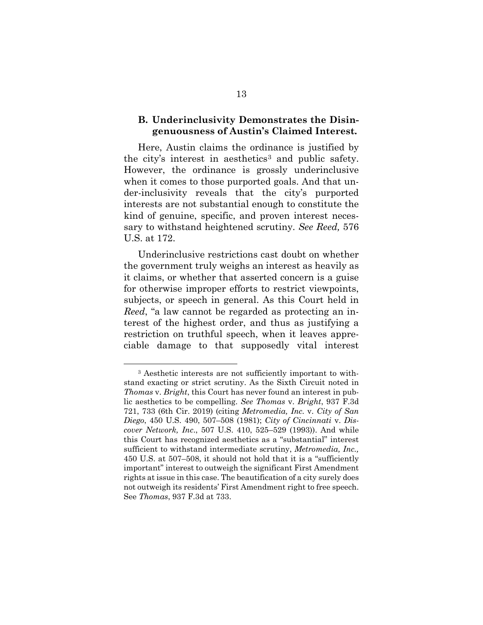#### **B. Underinclusivity Demonstrates the Disingenuousness of Austin's Claimed Interest.**

Here, Austin claims the ordinance is justified by the city's interest in aesthetics<sup>[3](#page-17-0)</sup> and public safety. However, the ordinance is grossly underinclusive when it comes to those purported goals. And that under-inclusivity reveals that the city's purported interests are not substantial enough to constitute the kind of genuine, specific, and proven interest necessary to withstand heightened scrutiny. *See Reed,* 576 U.S. at 172.

Underinclusive restrictions cast doubt on whether the government truly weighs an interest as heavily as it claims, or whether that asserted concern is a guise for otherwise improper efforts to restrict viewpoints, subjects, or speech in general. As this Court held in *Reed*, "a law cannot be regarded as protecting an interest of the highest order, and thus as justifying a restriction on truthful speech, when it leaves appreciable damage to that supposedly vital interest

-

<span id="page-17-0"></span><sup>3</sup> Aesthetic interests are not sufficiently important to withstand exacting or strict scrutiny. As the Sixth Circuit noted in *Thomas* v. *Bright*, this Court has never found an interest in public aesthetics to be compelling. *See Thomas* v. *Bright*, 937 F.3d 721, 733 (6th Cir. 2019) (citing *Metromedia, Inc.* v. *City of San Diego*, 450 U.S. 490, 507–508 (1981); *City of Cincinnati* v. *Discover Network, Inc*., 507 U.S. 410, 525–529 (1993)). And while this Court has recognized aesthetics as a "substantial" interest sufficient to withstand intermediate scrutiny, *Metromedia, Inc.,* 450 U.S. at 507–508, it should not hold that it is a "sufficiently important" interest to outweigh the significant First Amendment rights at issue in this case. The beautification of a city surely does not outweigh its residents' First Amendment right to free speech. See *Thomas*, 937 F.3d at 733.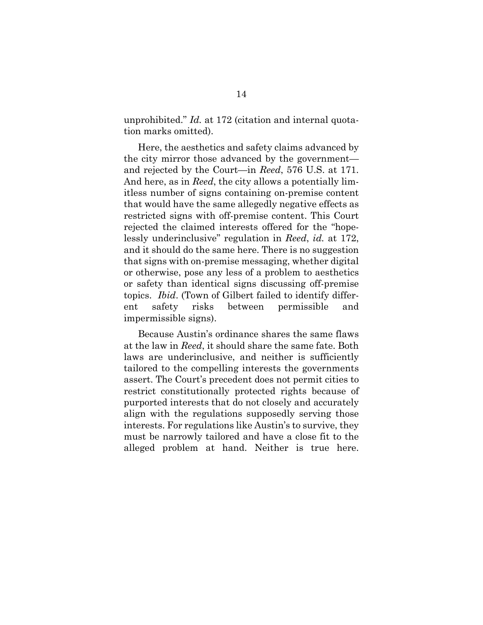unprohibited." *Id.* at 172 (citation and internal quotation marks omitted).

Here, the aesthetics and safety claims advanced by the city mirror those advanced by the government and rejected by the Court—in *Reed*, 576 U.S. at 171. And here, as in *Reed*, the city allows a potentially limitless number of signs containing on-premise content that would have the same allegedly negative effects as restricted signs with off-premise content. This Court rejected the claimed interests offered for the "hopelessly underinclusive" regulation in *Reed*, *id.* at 172, and it should do the same here. There is no suggestion that signs with on-premise messaging, whether digital or otherwise, pose any less of a problem to aesthetics or safety than identical signs discussing off-premise topics. *Ibid*. (Town of Gilbert failed to identify different safety risks between permissible and impermissible signs).

Because Austin's ordinance shares the same flaws at the law in *Reed*, it should share the same fate. Both laws are underinclusive, and neither is sufficiently tailored to the compelling interests the governments assert. The Court's precedent does not permit cities to restrict constitutionally protected rights because of purported interests that do not closely and accurately align with the regulations supposedly serving those interests. For regulations like Austin's to survive, they must be narrowly tailored and have a close fit to the alleged problem at hand. Neither is true here.